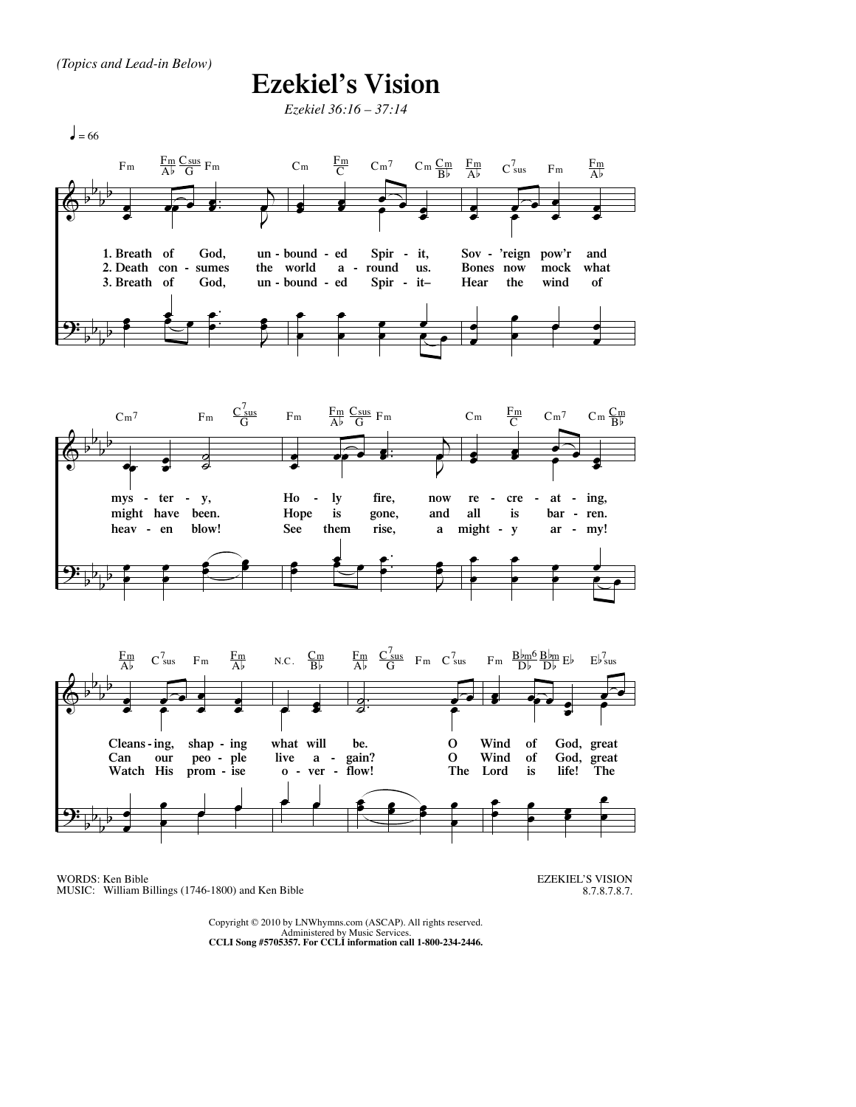## **Ezekiel's Vision**

*Ezekiel 36:16 – 37:14*



WORDS: Ken Bible MUSIC: William Billings (1746-1800) and Ken Bible

EZEKIEL'S VISION 8.7.8.7.8.7.

Copyright © 2010 by LNWhymns.com (ASCAP). All rights reserved. Administered by Music Services. **CCLI Song #5705357. For CCLI information call 1-800-234-2446.**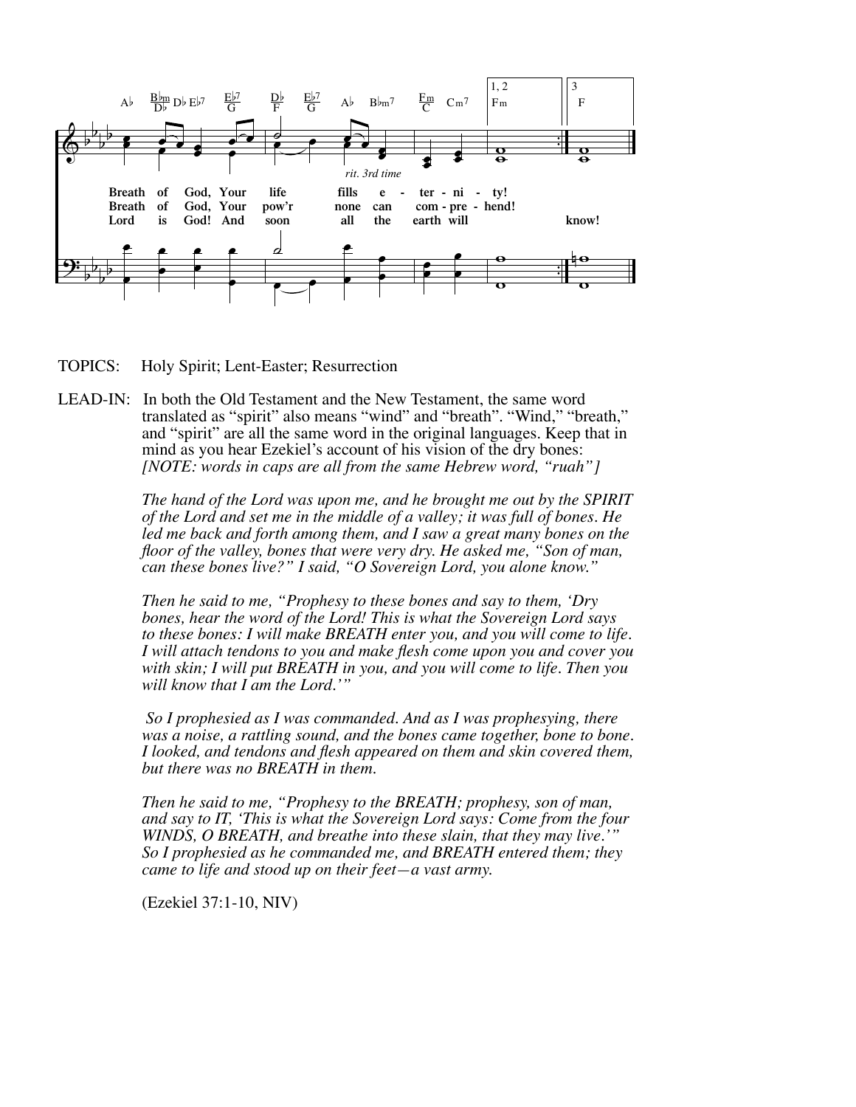

TOPICS: Holy Spirit; Lent-Easter; Resurrection

LEAD-IN: In both the Old Testament and the New Testament, the same word translated as "spirit" also means "wind" and "breath". "Wind," "breath," and "spirit" are all the same word in the original languages. Keep that in mind as you hear Ezekiel's account of his vision of the dry bones: *[NOTE: words in caps are all from the same Hebrew word, "ruah"]*

> *The hand of the Lord was upon me, and he brought me out by the SPIRIT of the Lord and set me in the middle of a valley; it was full of bones. He led me back and forth among them, and I saw a great many bones on the floor of the valley, bones that were very dry. He asked me, "Son of man, can these bones live?" I said, "O Sovereign Lord, you alone know."*

> *Then he said to me, "Prophesy to these bones and say to them, 'Dry bones, hear the word of the Lord! This is what the Sovereign Lord says to these bones: I will make BREATH enter you, and you will come to life. I will attach tendons to you and make flesh come upon you and cover you with skin; I will put BREATH in you, and you will come to life. Then you will know that I am the Lord.'"*

> *So I prophesied as I was commanded. And as I was prophesying, there was a noise, a rattling sound, and the bones came together, bone to bone. I looked, and tendons and flesh appeared on them and skin covered them, but there was no BREATH in them.*

> *Then he said to me, "Prophesy to the BREATH; prophesy, son of man, and say to IT, 'This is what the Sovereign Lord says: Come from the four WINDS, O BREATH, and breathe into these slain, that they may live.'" So I prophesied as he commanded me, and BREATH entered them; they came to life and stood up on their feet—a vast army.*

(Ezekiel 37:1-10, NIV)